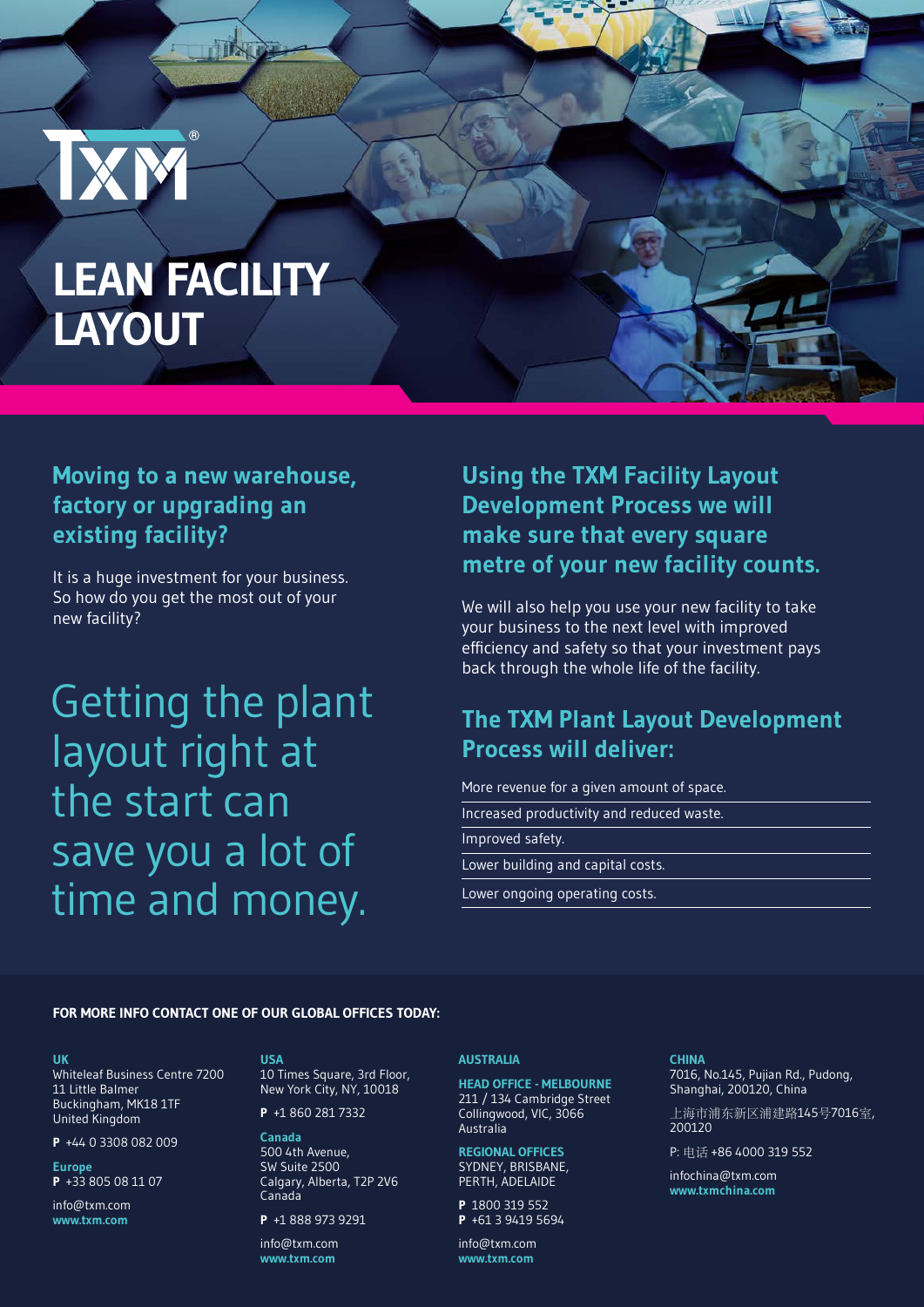# **LEAN FACILITY LAYOUT**

 $(R)$ 

**IXM** 

IIN

# **Moving to a new warehouse, factory or upgrading an existing facility?**

It is a huge investment for your business. So how do you get the most out of your new facility?

Getting the plant layout right at the start can save you a lot of time and money.

**Using the TXM Facility Layout Development Process we will make sure that every square metre of your new facility counts.** 

We will also help you use your new facility to take your business to the next level with improved efficiency and safety so that your investment pays back through the whole life of the facility.

### **The TXM Plant Layout Development Process will deliver:**

More revenue for a given amount of space.

Increased productivity and reduced waste.

Improved safety.

Lower building and capital costs.

Lower ongoing operating costs.

### **FOR MORE INFO CONTACT ONE OF OUR GLOBAL OFFICES TODAY:**

#### **UK**

Whiteleaf Business Centre 7200 11 Little Balmer Buckingham, MK18 1TF United Kingdom

**P** +44 0 3308 082 009

**Europe P** +33 805 08 11 07

info@txm.com **www.txm.com**

**USA**

10 Times Square, 3rd Floor, New York City, NY, 10018

**P** +1 860 281 7332

**Canada** 500 4th Avenue, SW Suite 2500 Calgary, Alberta, T2P 2V6 Canada

**P** +1 888 973 9291 info@txm.com

**www.txm.com**

### **AUSTRALIA**

**HEAD OFFICE - MELBOURNE** 211 / 134 Cambridge Street Collingwood, VIC, 3066 Australia

**REGIONAL OFFICES** SYDNEY, BRISBANE, PERTH, ADELAIDE

**P** 1800 319 552 **P** +61 3 9419 5694

info@txm.com **www.txm.com**

### **CHINA**

7016, No.145, Pujian Rd., Pudong, Shanghai, 200120, China

上海市浦东新区浦建路145号7016室, 200120

P: 电话 +86 4000 319 552

infochina@txm.com **www.txmchina.com**